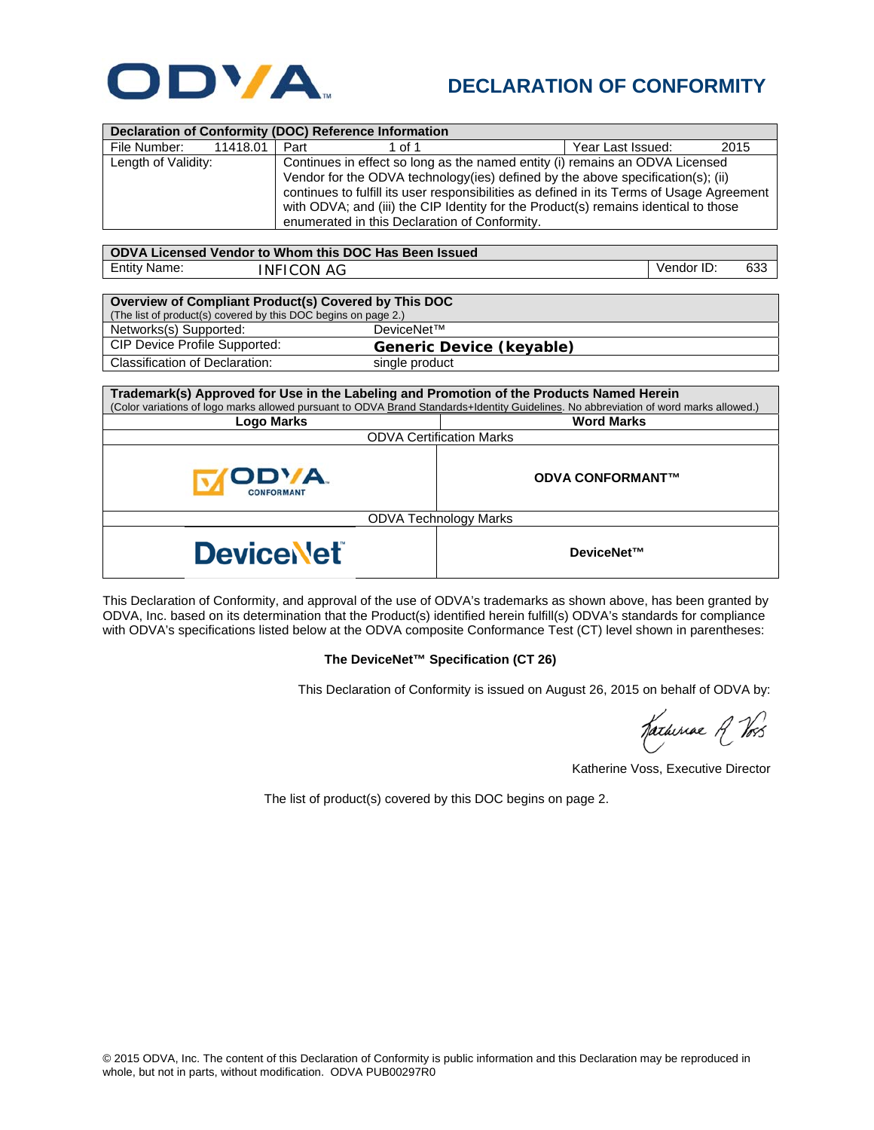

## **DECLARATION OF CONFORMITY**

|                     |          |                                                                                  | Declaration of Conformity (DOC) Reference Information                                     |  |                   |      |
|---------------------|----------|----------------------------------------------------------------------------------|-------------------------------------------------------------------------------------------|--|-------------------|------|
| File Number:        | 11418.01 | Part                                                                             | 1 of 1                                                                                    |  | Year Last Issued: | 2015 |
| Length of Validity: |          | Continues in effect so long as the named entity (i) remains an ODVA Licensed     |                                                                                           |  |                   |      |
|                     |          | Vendor for the ODVA technology (ies) defined by the above specification(s); (ii) |                                                                                           |  |                   |      |
|                     |          |                                                                                  | continues to fulfill its user responsibilities as defined in its Terms of Usage Agreement |  |                   |      |
|                     |          |                                                                                  | with ODVA; and (iii) the CIP Identity for the Product(s) remains identical to those       |  |                   |      |
|                     |          | enumerated in this Declaration of Conformity.                                    |                                                                                           |  |                   |      |
|                     |          |                                                                                  |                                                                                           |  |                   |      |

| ODVA Licensed Vendor to Whom this DOC Has Been Issued |            |            |     |  |
|-------------------------------------------------------|------------|------------|-----|--|
| <b>Entity Name:</b>                                   | INFICON AG | Vendor ID: | 633 |  |

| Overview of Compliant Product(s) Covered by This DOC           |                                 |  |  |  |
|----------------------------------------------------------------|---------------------------------|--|--|--|
| (The list of product(s) covered by this DOC begins on page 2.) |                                 |  |  |  |
| Networks(s) Supported:                                         | DeviceNet™                      |  |  |  |
| CIP Device Profile Supported:                                  | <b>Generic Device (keyable)</b> |  |  |  |
| Classification of Declaration:                                 | single product                  |  |  |  |

| Trademark(s) Approved for Use in the Labeling and Promotion of the Products Named Herein                                              |                         |  |  |  |
|---------------------------------------------------------------------------------------------------------------------------------------|-------------------------|--|--|--|
| (Color variations of logo marks allowed pursuant to ODVA Brand Standards+Identity Guidelines. No abbreviation of word marks allowed.) |                         |  |  |  |
| <b>Logo Marks</b>                                                                                                                     | <b>Word Marks</b>       |  |  |  |
| <b>ODVA Certification Marks</b>                                                                                                       |                         |  |  |  |
| ODVA.<br><b>CONFORMAN</b>                                                                                                             | <b>ODVA CONFORMANT™</b> |  |  |  |
| <b>ODVA Technology Marks</b>                                                                                                          |                         |  |  |  |
| <b>DeviceNet</b>                                                                                                                      | DeviceNet™              |  |  |  |

This Declaration of Conformity, and approval of the use of ODVA's trademarks as shown above, has been granted by ODVA, Inc. based on its determination that the Product(s) identified herein fulfill(s) ODVA's standards for compliance with ODVA's specifications listed below at the ODVA composite Conformance Test (CT) level shown in parentheses:

## **The DeviceNet™ Specification (CT 26)**

This Declaration of Conformity is issued on August 26, 2015 on behalf of ODVA by:

Katherine A Vos

Katherine Voss, Executive Director

The list of product(s) covered by this DOC begins on page 2.